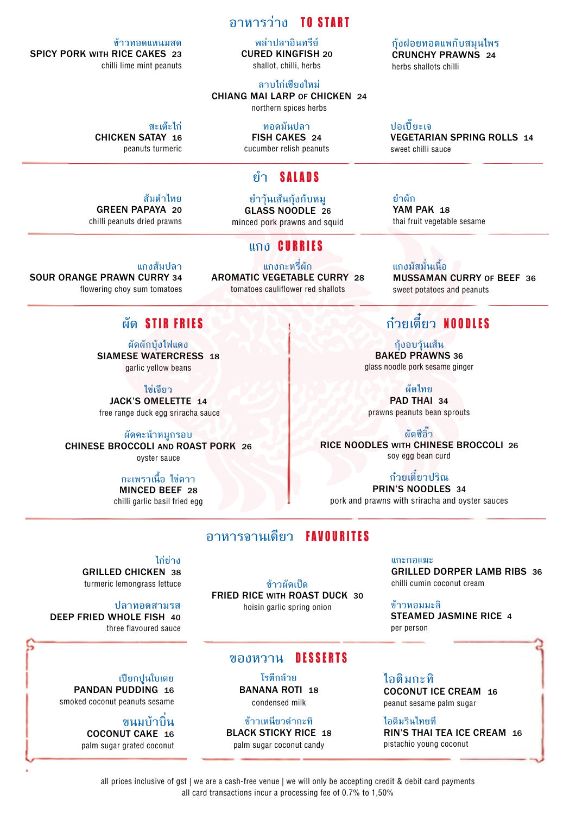## **อาหารว่าง** TO START

**พล่าปลาอินทรีย์** CURED KINGFISH 20 shallot, chilli, herbs

**ลาบไก่เชียงใหม่** CHIANG MAI LARP OF CHICKEN 24 northern spices herbs

> **ทอดมันปลา** FISH CAKES 24

cucumber relish peanuts

## **ยำ�** SALADS

**ยำ�วุ้นเส้นกุ้งกับหมู** GLASS NOODLE 26 minced pork prawns and squid

**แกง** CURRIES

**แกงกะหรี่ผัก** AROMATIC VEGETABLE CURRY 28 tomatoes cauliflower red shallots

# **แกงส้มปลา**

flowering choy sum tomatoes

## **ผัด** STIR FRIES

**ผัดผักบุ้งไฟแดง** SIAMESE WATERCRESS 18 garlic yellow beans

**ไข่เจียว** JACK'S OMELETTE 14 free range duck egg sriracha sauce

**ผัดคะน้าหมูกรอบ** CHINESE BROCCOLI AND ROAST PORK 26 oyster sauce

### **กะเพราเนื้อ ไข่ดาว** MINCED BEEF 28

chilli garlic basil fried egg

## **อาหารจานเดียว** FAVOURITES

**ไก่ย่าง**

GRILLED CHICKEN 38 turmeric lemongrass lettuce

### **ปลาทอดสามรส**

DEEP FRIED WHOLE FISH 40 three flavoured sauce

**เปียกปูนใบเตย** PANDAN PUDDING 16 smoked coconut peanuts sesame

> **ขนมบ้าบิ่น** COCONUT CAKE 16 palm sugar grated coconut

**ข้าวผัดเป็ด** FRIED RICE WITH ROAST DUCK 30 hoisin garlic spring onion

## **ของหวาน** DESSERTS

**โรตีกล้วย**  BANANA ROTI 18 condensed milk

**ข้าวเหนียวดำ�กะทิ** BLACK STICKY RICE <sup>18</sup> palm sugar coconut candy

**ไอติมกะทิ** COCONUT ICE CREAM 16 peanut sesame palm sugar

**ไอติมรินไทยที** RIN'S THAI TEA ICE CREAM 16 pistachio young coconut

**ปอเปี๊ยะเจ** VEGETARIAN SPRING ROLLS 14

sweet chilli sauce

YAM PAK 18 thai fruit vegetable sesame

**แกงมัสมั่นเนื้อ** MUSSAMAN CURRY OF BEEF 36 sweet potatoes and peanuts

# **ก๋วยเตี๋ยว** NOODLES

**กุ้งอบวุ้นเส้น** BAKED PRAWNS 36 glass noodle pork sesame ginger

**ผัดไทย** PAD THAI 34 prawns peanuts bean sprouts

**ผัดซีอิ๊ว** RICE NOODLES WITH CHINESE BROCCOLI 26 soy egg bean curd

**ก๋วยเตี๋ยวปริณ** PRIN'S NOODLES 34 pork and prawns with sriracha and oyster sauces

> **แกะกอแฆะ** GRILLED DORPER LAMB RIBS 36 chilli cumin coconut cream

**ข้าวหอมมะลิ** STEAMED JASMINE RICE 4 per person

all prices inclusive of gst | we are a cash-free venue | we will only be accepting credit & debit card payments all card transactions incur a processing fee of 0.7% to 1,50%

**สะเต๊ะไก่**

SOUR ORANGE PRAWN CURRY 34

**ส้มตำ�ไทย**

CHICKEN SATAY 16 peanuts turmeric

**ข้าวทอดแหนมสด**

chilli lime mint peanuts

SPICY PORK WITH RICE CAKES 23

GREEN PAPAYA 20 chilli peanuts dried prawns **ยำ�ผัก**

CRUNCHY PRAWNS 24 herbs shallots chilli

**กุ้งฝอยทอดแพกับสมุนไพร**